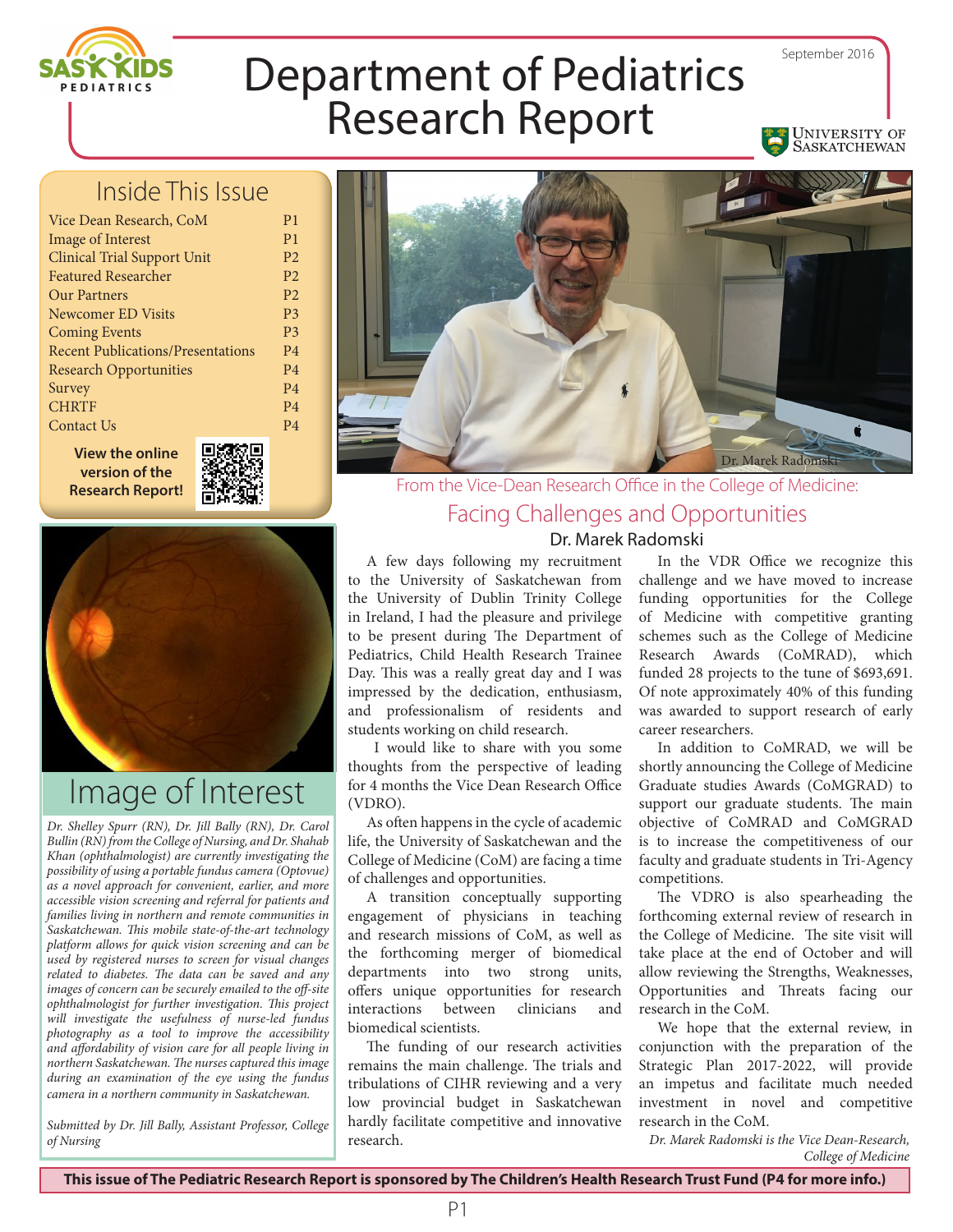

University of SASKATCHEWAN

# Department of Pediatrics Research Report

#### Inside This Issue

| Vice Dean Research, CoM                  |
|------------------------------------------|
| <b>Image of Interest</b>                 |
| <b>Clinical Trial Support Unit</b>       |
| <b>Featured Researcher</b>               |
| <b>Our Partners</b>                      |
| Newcomer ED Visits                       |
| <b>Coming Events</b>                     |
| <b>Recent Publications/Presentations</b> |
| <b>Research Opportunities</b>            |
| Survey                                   |
| <b>CHRTF</b>                             |
| Contact Us                               |
|                                          |

**View the online version of the Research Report!**



P1 P1 P2 P2 P2 P3 P3 P4 P4 P4 P4 P4



# Image of Interest

*Dr. Shelley Spurr (RN), Dr. Jill Bally (RN), Dr. Carol Bullin (RN) from the College of Nursing, and Dr. Shahab Khan (ophthalmologist) are currently investigating the possibility of using a portable fundus camera (Optovue) as a novel approach for convenient, earlier, and more accessible vision screening and referral for patients and families living in northern and remote communities in Saskatchewan. This mobile state-of-the-art technology platform allows for quick vision screening and can be used by registered nurses to screen for visual changes related to diabetes. The data can be saved and any images of concern can be securely emailed to the off-site ophthalmologist for further investigation. This project will investigate the usefulness of nurse-led fundus photography as a tool to improve the accessibility and affordability of vision care for all people living in northern Saskatchewan. The nurses captured this image during an examination of the eye using the fundus camera in a northern community in Saskatchewan.*

*Submitted by Dr. Jill Bally, Assistant Professor, College of Nursing Dr. Marek Radomski is the Vice Dean-Research,**Dr. Marek Radomski is the Vice Dean-Research***,** 



#### From the Vice-Dean Research Office in the College of Medicine: Facing Challenges and Opportunities

Dr. Marek Radomski

A few days following my recruitment to the University of Saskatchewan from the University of Dublin Trinity College in Ireland, I had the pleasure and privilege to be present during The Department of Pediatrics, Child Health Research Trainee Day. This was a really great day and I was impressed by the dedication, enthusiasm, and professionalism of residents and students working on child research.

 I would like to share with you some thoughts from the perspective of leading for 4 months the Vice Dean Research Office (VDRO).

As often happens in the cycle of academic life, the University of Saskatchewan and the College of Medicine (CoM) are facing a time of challenges and opportunities.

A transition conceptually supporting engagement of physicians in teaching and research missions of CoM, as well as the forthcoming merger of biomedical departments into two strong units, offers unique opportunities for research interactions between clinicians and biomedical scientists.

The funding of our research activities remains the main challenge. The trials and tribulations of CIHR reviewing and a very low provincial budget in Saskatchewan hardly facilitate competitive and innovative research.

In the VDR Office we recognize this challenge and we have moved to increase funding opportunities for the College of Medicine with competitive granting schemes such as the College of Medicine Research Awards (CoMRAD), which funded 28 projects to the tune of \$693,691. Of note approximately 40% of this funding was awarded to support research of early career researchers.

In addition to CoMRAD, we will be shortly announcing the College of Medicine Graduate studies Awards (CoMGRAD) to support our graduate students. The main objective of CoMRAD and CoMGRAD is to increase the competitiveness of our faculty and graduate students in Tri-Agency competitions.

The VDRO is also spearheading the forthcoming external review of research in the College of Medicine. The site visit will take place at the end of October and will allow reviewing the Strengths, Weaknesses, Opportunities and Threats facing our research in the CoM.

We hope that the external review, in conjunction with the preparation of the Strategic Plan 2017-2022, will provide an impetus and facilitate much needed investment in novel and competitive research in the CoM.

*College of Medicine*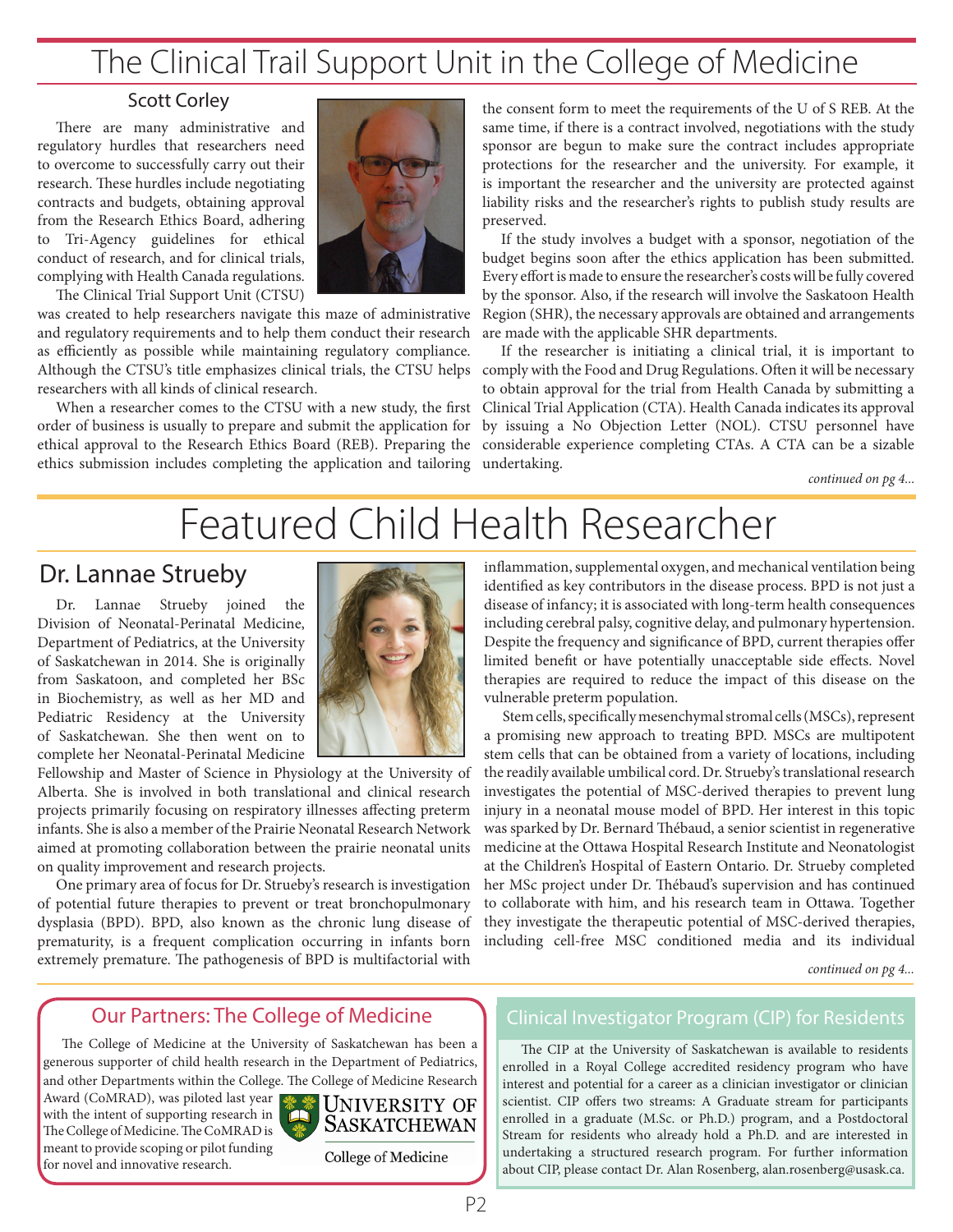# The Clinical Trail Support Unit in the College of Medicine

#### Scott Corley

There are many administrative and regulatory hurdles that researchers need to overcome to successfully carry out their research. These hurdles include negotiating contracts and budgets, obtaining approval from the Research Ethics Board, adhering to Tri-Agency guidelines for ethical conduct of research, and for clinical trials, complying with Health Canada regulations.

The Clinical Trial Support Unit (CTSU)



was created to help researchers navigate this maze of administrative and regulatory requirements and to help them conduct their research as efficiently as possible while maintaining regulatory compliance. Although the CTSU's title emphasizes clinical trials, the CTSU helps researchers with all kinds of clinical research.

When a researcher comes to the CTSU with a new study, the first order of business is usually to prepare and submit the application for ethical approval to the Research Ethics Board (REB). Preparing the ethics submission includes completing the application and tailoring

the consent form to meet the requirements of the U of S REB. At the same time, if there is a contract involved, negotiations with the study sponsor are begun to make sure the contract includes appropriate protections for the researcher and the university. For example, it is important the researcher and the university are protected against liability risks and the researcher's rights to publish study results are preserved.

If the study involves a budget with a sponsor, negotiation of the budget begins soon after the ethics application has been submitted. Every effort is made to ensure the researcher's costs will be fully covered by the sponsor. Also, if the research will involve the Saskatoon Health Region (SHR), the necessary approvals are obtained and arrangements are made with the applicable SHR departments.

If the researcher is initiating a clinical trial, it is important to comply with the Food and Drug Regulations. Often it will be necessary to obtain approval for the trial from Health Canada by submitting a Clinical Trial Application (CTA). Health Canada indicates its approval by issuing a No Objection Letter (NOL). CTSU personnel have considerable experience completing CTAs. A CTA can be a sizable undertaking.

*continued on pg 4...*

# Featured Child Health Researcher

#### Dr. Lannae Strueby

Dr. Lannae Strueby joined the Division of Neonatal-Perinatal Medicine, Department of Pediatrics, at the University of Saskatchewan in 2014. She is originally from Saskatoon, and completed her BSc in Biochemistry, as well as her MD and Pediatric Residency at the University of Saskatchewan. She then went on to complete her Neonatal-Perinatal Medicine



Fellowship and Master of Science in Physiology at the University of Alberta. She is involved in both translational and clinical research projects primarily focusing on respiratory illnesses affecting preterm infants. She is also a member of the Prairie Neonatal Research Network aimed at promoting collaboration between the prairie neonatal units on quality improvement and research projects.

One primary area of focus for Dr. Strueby's research is investigation of potential future therapies to prevent or treat bronchopulmonary dysplasia (BPD). BPD, also known as the chronic lung disease of prematurity, is a frequent complication occurring in infants born extremely premature. The pathogenesis of BPD is multifactorial with

inflammation, supplemental oxygen, and mechanical ventilation being identified as key contributors in the disease process. BPD is not just a disease of infancy; it is associated with long-term health consequences including cerebral palsy, cognitive delay, and pulmonary hypertension. Despite the frequency and significance of BPD, current therapies offer limited benefit or have potentially unacceptable side effects. Novel therapies are required to reduce the impact of this disease on the vulnerable preterm population.

Stem cells, specifically mesenchymal stromal cells (MSCs), represent a promising new approach to treating BPD. MSCs are multipotent stem cells that can be obtained from a variety of locations, including the readily available umbilical cord. Dr. Strueby's translational research investigates the potential of MSC-derived therapies to prevent lung injury in a neonatal mouse model of BPD. Her interest in this topic was sparked by Dr. Bernard Thébaud, a senior scientist in regenerative medicine at the Ottawa Hospital Research Institute and Neonatologist at the Children's Hospital of Eastern Ontario. Dr. Strueby completed her MSc project under Dr. Thébaud's supervision and has continued to collaborate with him, and his research team in Ottawa. Together they investigate the therapeutic potential of MSC-derived therapies, including cell-free MSC conditioned media and its individual

*continued on pg 4...*

#### Our Partners: The College of Medicine

The College of Medicine at the University of Saskatchewan has been a generous supporter of child health research in the Department of Pediatrics, and other Departments within the College. The College of Medicine Research

Award (CoMRAD), was piloted last year with the intent of supporting research in The College of Medicine. The CoMRAD is meant to provide scoping or pilot funding for novel and innovative research.



College of Medicine

#### Clinical Investigator Program (CIP) for Residents

The CIP at the University of Saskatchewan is available to residents enrolled in a Royal College accredited residency program who have interest and potential for a career as a clinician investigator or clinician scientist. CIP offers two streams: A Graduate stream for participants enrolled in a graduate (M.Sc. or Ph.D.) program, and a Postdoctoral Stream for residents who already hold a Ph.D. and are interested in undertaking a structured research program. For further information about CIP, please contact Dr. Alan Rosenberg, alan.rosenberg@usask.ca.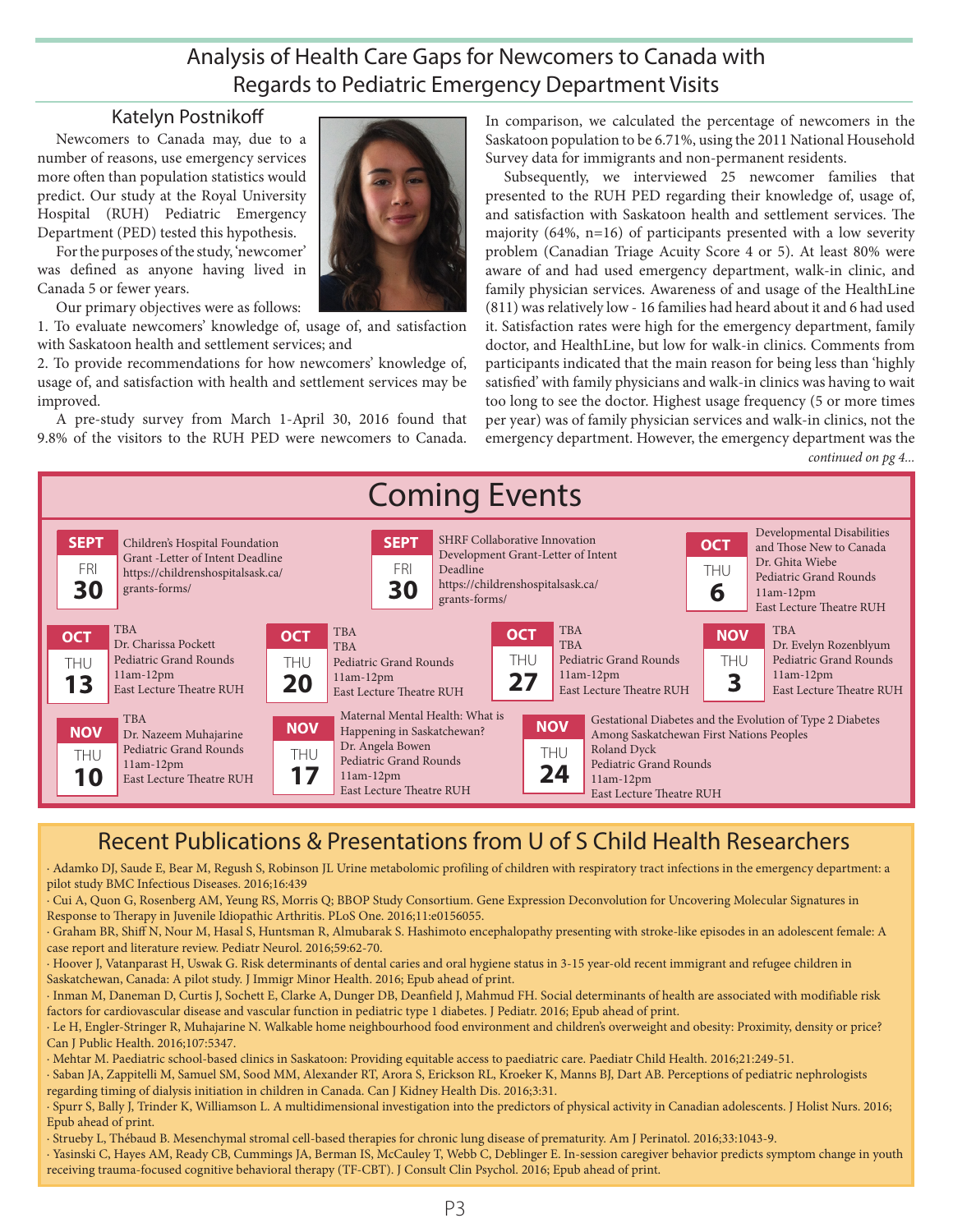#### Analysis of Health Care Gaps for Newcomers to Canada with Regards to Pediatric Emergency Department Visits

#### Katelyn Postnikoff

Newcomers to Canada may, due to a number of reasons, use emergency services more often than population statistics would predict. Our study at the Royal University Hospital (RUH) Pediatric Emergency Department (PED) tested this hypothesis.

For the purposes of the study, 'newcomer' was defined as anyone having lived in Canada 5 or fewer years.

Our primary objectives were as follows:

1. To evaluate newcomers' knowledge of, usage of, and satisfaction with Saskatoon health and settlement services; and

2. To provide recommendations for how newcomers' knowledge of, usage of, and satisfaction with health and settlement services may be improved.

A pre-study survey from March 1-April 30, 2016 found that 9.8% of the visitors to the RUH PED were newcomers to Canada.

In comparison, we calculated the percentage of newcomers in the Saskatoon population to be 6.71%, using the 2011 National Household Survey data for immigrants and non-permanent residents.

Subsequently, we interviewed 25 newcomer families that presented to the RUH PED regarding their knowledge of, usage of, and satisfaction with Saskatoon health and settlement services. The majority (64%, n=16) of participants presented with a low severity problem (Canadian Triage Acuity Score 4 or 5). At least 80% were aware of and had used emergency department, walk-in clinic, and family physician services. Awareness of and usage of the HealthLine (811) was relatively low - 16 families had heard about it and 6 had used it. Satisfaction rates were high for the emergency department, family doctor, and HealthLine, but low for walk-in clinics. Comments from participants indicated that the main reason for being less than 'highly satisfied' with family physicians and walk-in clinics was having to wait too long to see the doctor. Highest usage frequency (5 or more times per year) was of family physician services and walk-in clinics, not the emergency department. However, the emergency department was the *continued on pg 4...*



#### Recent Publications & Presentations from U of S Child Health Researchers

∙ Adamko DJ, Saude E, Bear M, Regush S, Robinson JL Urine metabolomic profiling of children with respiratory tract infections in the emergency department: a pilot study BMC Infectious Diseases. 2016;16:439

∙ Cui A, Quon G, Rosenberg AM, Yeung RS, Morris Q; BBOP Study Consortium. Gene Expression Deconvolution for Uncovering Molecular Signatures in Response to Therapy in Juvenile Idiopathic Arthritis. PLoS One. 2016;11:e0156055.

∙ Graham BR, Shiff N, Nour M, Hasal S, Huntsman R, Almubarak S. Hashimoto encephalopathy presenting with stroke-like episodes in an adolescent female: A case report and literature review. Pediatr Neurol. 2016;59:62-70.

∙ Hoover J, Vatanparast H, Uswak G. Risk determinants of dental caries and oral hygiene status in 3-15 year-old recent immigrant and refugee children in Saskatchewan, Canada: A pilot study. J Immigr Minor Health. 2016; Epub ahead of print.

∙ Inman M, Daneman D, Curtis J, Sochett E, Clarke A, Dunger DB, Deanfield J, Mahmud FH. Social determinants of health are associated with modifiable risk factors for cardiovascular disease and vascular function in pediatric type 1 diabetes. J Pediatr. 2016; Epub ahead of print.

∙ Le H, Engler-Stringer R, Muhajarine N. Walkable home neighbourhood food environment and children's overweight and obesity: Proximity, density or price? Can J Public Health. 2016;107:5347.

∙ Mehtar M. Paediatric school-based clinics in Saskatoon: Providing equitable access to paediatric care. Paediatr Child Health. 2016;21:249-51.

∙ Saban JA, Zappitelli M, Samuel SM, Sood MM, Alexander RT, Arora S, Erickson RL, Kroeker K, Manns BJ, Dart AB. Perceptions of pediatric nephrologists regarding timing of dialysis initiation in children in Canada. Can J Kidney Health Dis. 2016;3:31.

∙ Spurr S, Bally J, Trinder K, Williamson L. A multidimensional investigation into the predictors of physical activity in Canadian adolescents. J Holist Nurs. 2016; Epub ahead of print.

∙ Strueby L, Thébaud B. Mesenchymal stromal cell-based therapies for chronic lung disease of prematurity. Am J Perinatol. 2016;33:1043-9.

∙ Yasinski C, Hayes AM, Ready CB, Cummings JA, Berman IS, McCauley T, Webb C, Deblinger E. In-session caregiver behavior predicts symptom change in youth receiving trauma-focused cognitive behavioral therapy (TF-CBT). J Consult Clin Psychol. 2016; Epub ahead of print.